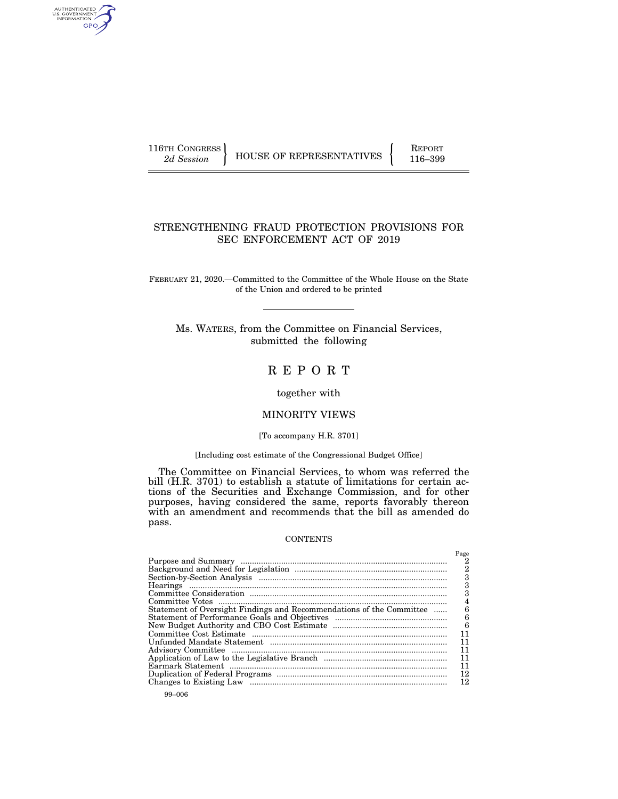AUTHENTICATED<br>U.S. GOVERNMENT<br>INFORMATION GPO

116TH CONGRESS HOUSE OF REPRESENTATIVES FEPORT 116–399

# STRENGTHENING FRAUD PROTECTION PROVISIONS FOR SEC ENFORCEMENT ACT OF 2019

FEBRUARY 21, 2020.—Committed to the Committee of the Whole House on the State of the Union and ordered to be printed

Ms. WATERS, from the Committee on Financial Services, submitted the following

R E P O R T

together with

# MINORITY VIEWS

#### [To accompany H.R. 3701]

## [Including cost estimate of the Congressional Budget Office]

The Committee on Financial Services, to whom was referred the bill (H.R. 3701) to establish a statute of limitations for certain actions of the Securities and Exchange Commission, and for other purposes, having considered the same, reports favorably thereon with an amendment and recommends that the bill as amended do pass.

## **CONTENTS**

|                                                                      | Page<br>2<br>$\overline{2}$ |
|----------------------------------------------------------------------|-----------------------------|
|                                                                      | 3                           |
|                                                                      | 3                           |
|                                                                      |                             |
|                                                                      | 4                           |
| Statement of Oversight Findings and Recommendations of the Committee | 6                           |
|                                                                      | 6<br>6                      |
|                                                                      |                             |
|                                                                      |                             |
|                                                                      | 11                          |
|                                                                      | 11                          |
|                                                                      | 11                          |
|                                                                      | 11                          |
|                                                                      | 12                          |
|                                                                      | 12                          |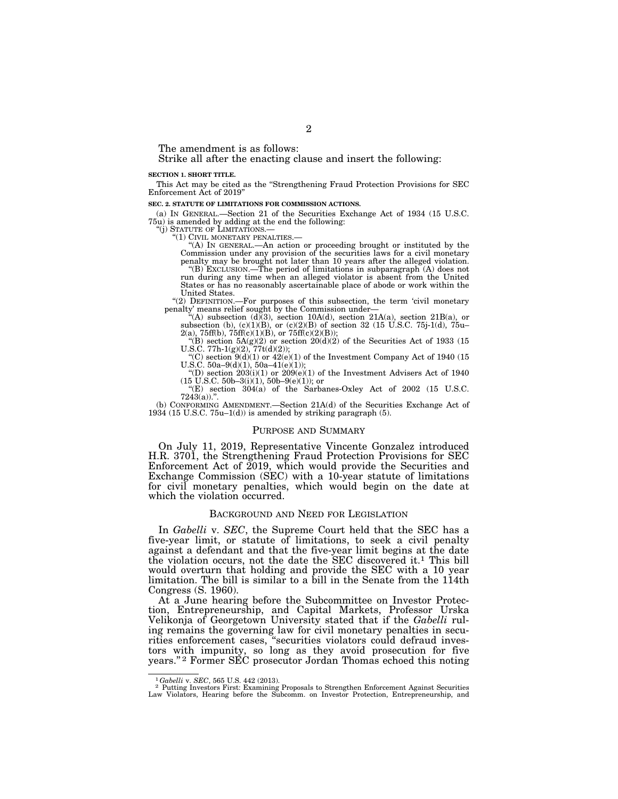The amendment is as follows:

Strike all after the enacting clause and insert the following:

#### **SECTION 1. SHORT TITLE.**

This Act may be cited as the ''Strengthening Fraud Protection Provisions for SEC Enforcement Act of 2019

#### **SEC. 2. STATUTE OF LIMITATIONS FOR COMMISSION ACTIONS.**

(a) IN GENERAL.—Section 21 of the Securities Exchange Act of 1934 (15 U.S.C. 75u) is amended by adding at the end the following:

''(j) STATUTE OF LIMITATIONS.— ''(1) CIVIL MONETARY PENALTIES.— ''(A) IN GENERAL.—An action or proceeding brought or instituted by the Commission under any provision of the securities laws for a civil monetary

penalty may be brought not later than 10 years after the alleged violation.<br>"(B) Exclusion.—The period of limitations in subparagraph (A) does not<br>run during any time when an alleged violator is absent from the United<br>Stat United States.

"(2) DEFINITION.—For purposes of this subsection, the term 'civil monetary<br>penalty' means relief sought by the Commission under—<br>"(A) subsection (d)(3), section 10A(d), section 21A(a), section 21B(a), or<br>subsection (b), (

U.S.C.  $50a-9(d)(1)$ ,  $50a-41(e)(1)$ ;

"(D) section  $203(i)(1)$  or  $209(e)(1)$  of the Investment Advisers Act of 1940  $(15 \text{ U.S.C. } 50b-3(i)(1), 50b-9(e)(1));$  or

''(E) section 304(a) of the Sarbanes-Oxley Act of 2002 (15 U.S.C.  $7243(a)$ .

(b) CONFORMING AMENDMENT.—Section 21A(d) of the Securities Exchange Act of 1934 (15 U.S.C.  $75u-1(d)$ ) is amended by striking paragraph (5).

#### PURPOSE AND SUMMARY

On July 11, 2019, Representative Vincente Gonzalez introduced H.R. 3701, the Strengthening Fraud Protection Provisions for SEC Enforcement Act of 2019, which would provide the Securities and Exchange Commission (SEC) with a 10-year statute of limitations for civil monetary penalties, which would begin on the date at which the violation occurred.

### BACKGROUND AND NEED FOR LEGISLATION

In *Gabelli* v. *SEC*, the Supreme Court held that the SEC has a five-year limit, or statute of limitations, to seek a civil penalty against a defendant and that the five-year limit begins at the date the violation occurs, not the date the SEC discovered it.1 This bill would overturn that holding and provide the SEC with a 10 year limitation. The bill is similar to a bill in the Senate from the 114th Congress (S. 1960).

At a June hearing before the Subcommittee on Investor Protection, Entrepreneurship, and Capital Markets, Professor Urska Velikonja of Georgetown University stated that if the *Gabelli* ruling remains the governing law for civil monetary penalties in securities enforcement cases, ''securities violators could defraud investors with impunity, so long as they avoid prosecution for five years.'' 2 Former SEC prosecutor Jordan Thomas echoed this noting

<sup>&</sup>lt;sup>1</sup>Gabelli v. SEC, 565 U.S. 442 (2013).<br><sup>2</sup> Putting Investors First: Examining Proposals to Strengthen Enforcement Against Securities<br>Law Violators, Hearing before the Subcomm. on Investor Protection, Entrepreneurship, an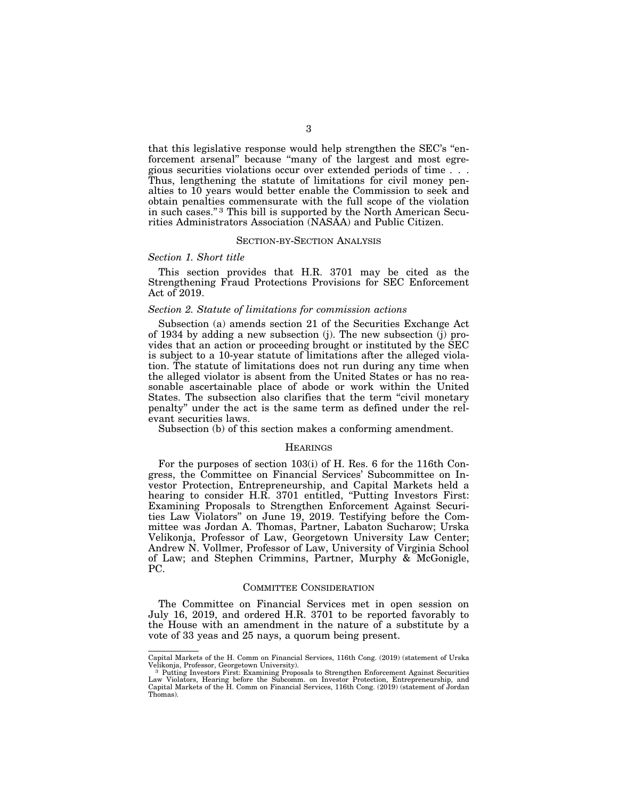that this legislative response would help strengthen the SEC's ''enforcement arsenal'' because ''many of the largest and most egregious securities violations occur over extended periods of time . . . Thus, lengthening the statute of limitations for civil money penalties to 10 years would better enable the Commission to seek and obtain penalties commensurate with the full scope of the violation in such cases."<sup>3</sup> This bill is supported by the North American Securities Administrators Association (NASAA) and Public Citizen.

### SECTION-BY-SECTION ANALYSIS

#### *Section 1. Short title*

This section provides that H.R. 3701 may be cited as the Strengthening Fraud Protections Provisions for SEC Enforcement Act of 2019.

## *Section 2. Statute of limitations for commission actions*

Subsection (a) amends section 21 of the Securities Exchange Act of 1934 by adding a new subsection (j). The new subsection (j) provides that an action or proceeding brought or instituted by the SEC is subject to a 10-year statute of limitations after the alleged violation. The statute of limitations does not run during any time when the alleged violator is absent from the United States or has no reasonable ascertainable place of abode or work within the United States. The subsection also clarifies that the term "civil monetary penalty'' under the act is the same term as defined under the relevant securities laws.

Subsection (b) of this section makes a conforming amendment.

#### **HEARINGS**

For the purposes of section 103(i) of H. Res. 6 for the 116th Congress, the Committee on Financial Services' Subcommittee on Investor Protection, Entrepreneurship, and Capital Markets held a hearing to consider H.R. 3701 entitled, "Putting Investors First: Examining Proposals to Strengthen Enforcement Against Securities Law Violators'' on June 19, 2019. Testifying before the Committee was Jordan A. Thomas, Partner, Labaton Sucharow; Urska Velikonja, Professor of Law, Georgetown University Law Center; Andrew N. Vollmer, Professor of Law, University of Virginia School of Law; and Stephen Crimmins, Partner, Murphy & McGonigle, PC.

#### COMMITTEE CONSIDERATION

The Committee on Financial Services met in open session on July 16, 2019, and ordered H.R. 3701 to be reported favorably to the House with an amendment in the nature of a substitute by a vote of 33 yeas and 25 nays, a quorum being present.

Capital Markets of the H. Comm on Financial Services, 116th Cong. (2019) (statement of Urska

<sup>&</sup>lt;sup>3</sup> Putting Investors First: Examining Proposals to Strengthen Enforcement Against Securities Law Violators, Hearing before the Subcomm. on Investor Protection, Entrepreneurship, and Capital Markets of the H. Comm on Financial Services, 116th Cong. (2019) (statement of Jordan Thomas).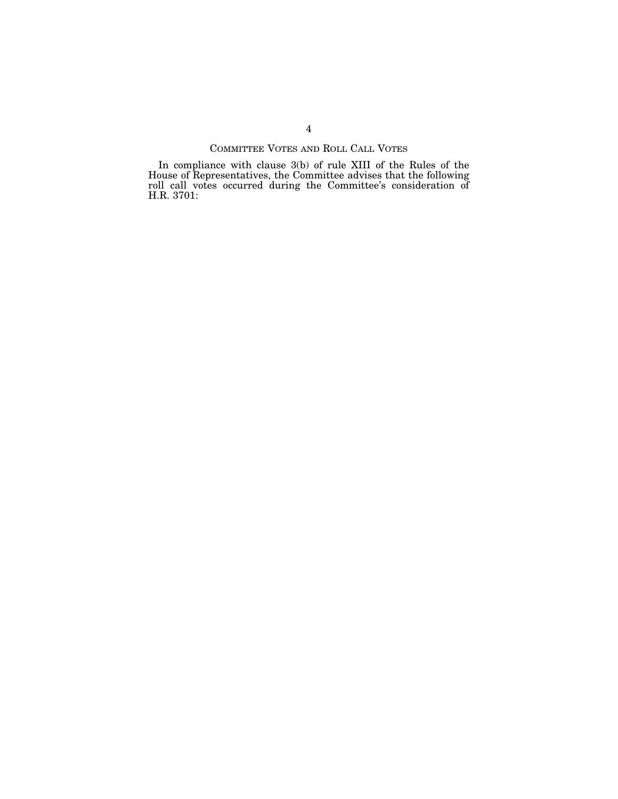# COMMITTEE VOTES AND ROLL CALL VOTES

In compliance with clause 3(b) of rule XIII of the Rules of the House of Representatives, the Committee advises that the following roll call votes occurred during the Committee's consideration of H.R. 3701: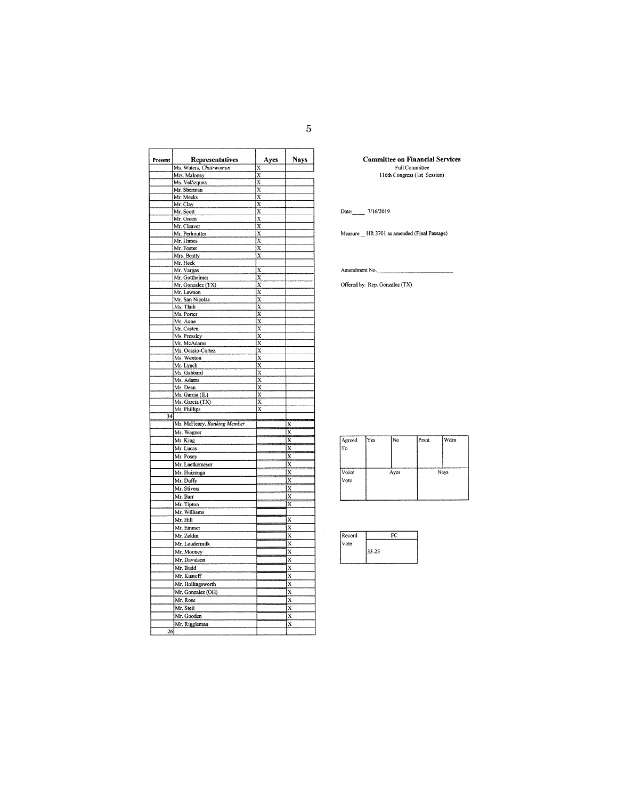| Present         | Representatives               | Ayes                    | <b>Nays</b>               |
|-----------------|-------------------------------|-------------------------|---------------------------|
|                 | Ms. Waters, Chairwoman        | X                       |                           |
|                 | Mrs. Maloney                  | X                       |                           |
|                 | Ms. Velázquez                 | X                       |                           |
|                 | Mr. Sherman                   | $\overline{\mathbf{x}}$ |                           |
|                 | Mr. Meeks                     | $\overline{x}$          |                           |
|                 | Mr. Clay                      | X                       |                           |
|                 | Mr. Scott                     | $\bar{x}$               |                           |
|                 | Mr. Green                     | X<br>X                  |                           |
|                 | Mr. Cleaver<br>Mr. Perlmutter | X                       |                           |
|                 | Mr. Himes                     | X                       |                           |
|                 | Mr. Foster                    | X                       |                           |
|                 | Mrs. Beatty                   | X                       |                           |
|                 | Mr. Heck                      |                         |                           |
|                 | Mr. Vargas                    | X                       |                           |
|                 | Mr. Gottheimer                | X                       |                           |
|                 | Mr. Gonzalez (TX)             | X                       |                           |
|                 | Mr. Lawson                    | X                       |                           |
|                 | Mr. San Nicolas               | X                       |                           |
|                 | Ms. Tlaib                     | X                       |                           |
|                 | Ms. Porter                    | $\overline{\mathbf{x}}$ |                           |
|                 | Ms. Axne                      | X                       |                           |
|                 | Mr. Casten                    | X                       |                           |
|                 | Ms. Pressley                  | X                       |                           |
|                 | Mr. McAdams                   | X                       |                           |
|                 | Ms. Ocasio-Cortez             | X                       |                           |
|                 | Ms. Wexton                    | X                       |                           |
|                 | Mr. Lynch                     | X                       |                           |
|                 | Ms. Gabbard                   | X                       |                           |
|                 | Ms. Adams                     | $\overline{\mathbf{x}}$ |                           |
|                 | Ms. Dean                      | X                       |                           |
|                 | Mr. Garcia (IL)               | X                       |                           |
|                 | Ms. Garcia (TX)               | X                       |                           |
|                 | Mr. Phillips                  | $\overline{\mathbf{x}}$ |                           |
| $\overline{34}$ |                               |                         |                           |
|                 | Mr. McHenry, Ranking Member   |                         | Х                         |
|                 | Ms. Wagner                    |                         | х                         |
|                 | Mr. King                      |                         | X                         |
|                 | Mr. Lucas                     |                         | X                         |
|                 | Mr. Posey                     |                         | X                         |
|                 | Mr. Luetkemeyer               |                         | X                         |
|                 | Mr. Huizenga                  |                         | X                         |
|                 | Mr. Duffy                     |                         | $\boldsymbol{\mathsf{x}}$ |
|                 | Mr. Stivers                   |                         | X                         |
|                 | Mr. Barr                      |                         | X                         |
|                 | Mr. Tipton                    |                         | X                         |
|                 | Mr. Williams                  |                         |                           |
|                 | Mr. Hill                      |                         | X                         |
|                 | Mr. Emmer                     |                         | X                         |
|                 | Mr. Zeldin                    |                         | X                         |
|                 |                               |                         |                           |
|                 | Mr. Loudermilk                |                         | X                         |
|                 | Mr. Mooney                    |                         | $\overline{\mathbf{x}}$   |
|                 | Mr. Davidson                  |                         | $\bar{\mathrm{x}}$        |
|                 | Mr. Budd                      |                         | X                         |
|                 | Mr. Kustoff                   |                         | X                         |
|                 | Mr. Hollingsworth             |                         | X                         |
|                 | Mr. Gonzalez (OH)             |                         | X                         |
|                 | Mr. Rose                      |                         | X                         |
|                 | Mr. Steil                     |                         | X                         |
|                 | Mr. Gooden                    |                         | X                         |
|                 |                               |                         | X                         |
| 26              | Mr. Riggleman                 |                         |                           |
|                 |                               |                         |                           |

**Committee on Financial Services** Full Committee<br>
116th Congress (1st Session)

Date: 7/16/2019

Measure \_\_ HR 3701 as amended (Final Passage)

Amendment No.

Offered by: Rep. Gonzalez (TX)

| Agreed<br> To | Yes | No.  | Prsnt | Wdm  |
|---------------|-----|------|-------|------|
| Voice<br>Vote |     | Ayes |       | Nays |

| Record | FС    |  |
|--------|-------|--|
| Vote   |       |  |
|        | 33-25 |  |
|        |       |  |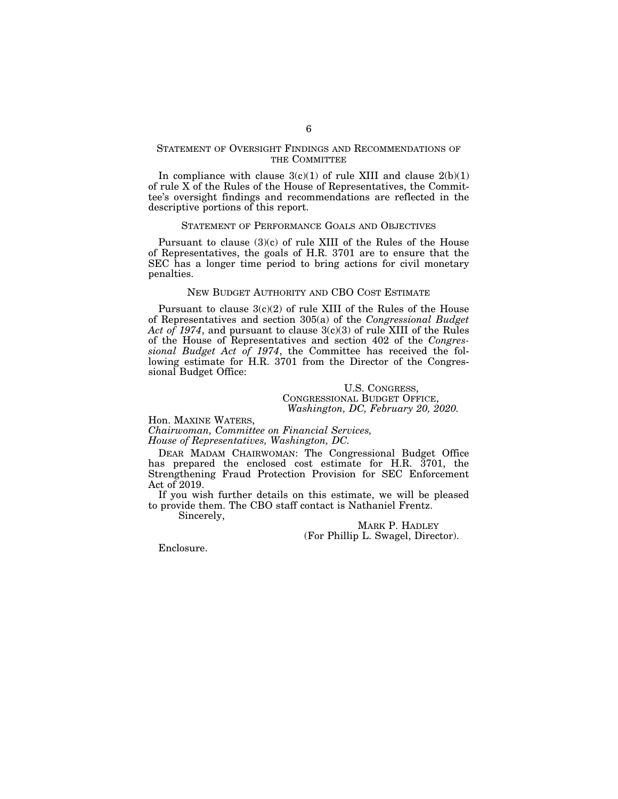## STATEMENT OF OVERSIGHT FINDINGS AND RECOMMENDATIONS OF THE COMMITTEE

In compliance with clause  $3(c)(1)$  of rule XIII and clause  $2(b)(1)$ of rule X of the Rules of the House of Representatives, the Committee's oversight findings and recommendations are reflected in the descriptive portions of this report.

#### STATEMENT OF PERFORMANCE GOALS AND OBJECTIVES

Pursuant to clause (3)(c) of rule XIII of the Rules of the House of Representatives, the goals of H.R. 3701 are to ensure that the SEC has a longer time period to bring actions for civil monetary penalties.

## NEW BUDGET AUTHORITY AND CBO COST ESTIMATE

Pursuant to clause  $3(c)(2)$  of rule XIII of the Rules of the House of Representatives and section 305(a) of the *Congressional Budget Act of 1974*, and pursuant to clause 3(c)(3) of rule XIII of the Rules of the House of Representatives and section 402 of the *Congressional Budget Act of 1974*, the Committee has received the following estimate for H.R. 3701 from the Director of the Congressional Budget Office:

## U.S. CONGRESS, CONGRESSIONAL BUDGET OFFICE, *Washington, DC, February 20, 2020.*

Hon. MAXINE WATERS, *Chairwoman, Committee on Financial Services,* 

*House of Representatives, Washington, DC.* 

DEAR MADAM CHAIRWOMAN: The Congressional Budget Office has prepared the enclosed cost estimate for H.R. 3701, the Strengthening Fraud Protection Provision for SEC Enforcement Act of 2019.

If you wish further details on this estimate, we will be pleased to provide them. The CBO staff contact is Nathaniel Frentz.

Sincerely,

MARK P. HADLEY (For Phillip L. Swagel, Director).

Enclosure.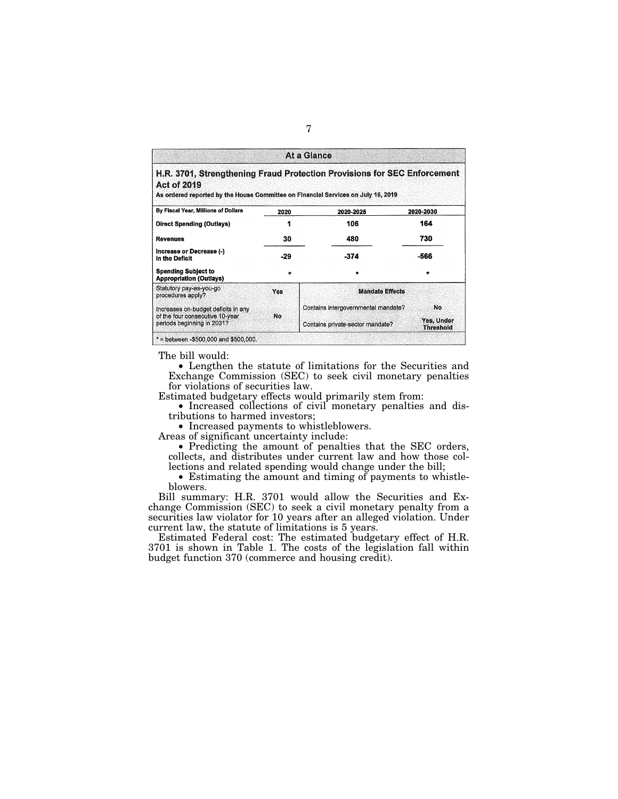|                                                                                                         |            | At a Glance                                                              |                                |
|---------------------------------------------------------------------------------------------------------|------------|--------------------------------------------------------------------------|--------------------------------|
| <b>Act of 2019</b><br>As ordered reported by the House Committee on Financial Services on July 16, 2019 |            | H.R. 3701, Strengthening Fraud Protection Provisions for SEC Enforcement |                                |
| By Fiscal Year, Millions of Dollars                                                                     | 2020       | 2020-2025                                                                | 2020-2030                      |
| <b>Direct Spending (Outlays)</b>                                                                        |            | 106                                                                      | 164                            |
| <b>Revenues</b>                                                                                         | 30         | 480                                                                      | 730                            |
| Increase or Decrease (-)<br>in the Deficit                                                              | -29        | $-374$                                                                   | -566                           |
| <b>Spending Subject to</b><br><b>Appropriation (Outlays)</b>                                            | ÷          |                                                                          |                                |
| Statutory pay-as-you-go<br>procedures apply?                                                            | <b>Yes</b> | <b>Mandate Effects</b>                                                   |                                |
| Increases on-budget deficits in any                                                                     |            | Contains intergovernmental mandate?                                      | No                             |
| of the four consecutive 10-year.<br>periods beginning in 2031?                                          | No         | Contains private-sector mandate?                                         | Yes, Under<br><b>Threshold</b> |

The bill would:

• Lengthen the statute of limitations for the Securities and Exchange Commission (SEC) to seek civil monetary penalties for violations of securities law.

Estimated budgetary effects would primarily stem from:

• Increased collections of civil monetary penalties and distributions to harmed investors;

• Increased payments to whistleblowers.

Areas of significant uncertainty include:

• Predicting the amount of penalties that the SEC orders, collects, and distributes under current law and how those collections and related spending would change under the bill;

• Estimating the amount and timing of payments to whistleblowers.

Bill summary: H.R. 3701 would allow the Securities and Exchange Commission (SEC) to seek a civil monetary penalty from a securities law violator for 10 years after an alleged violation. Under current law, the statute of limitations is 5 years.

Estimated Federal cost: The estimated budgetary effect of H.R. 3701 is shown in Table 1. The costs of the legislation fall within budget function 370 (commerce and housing credit).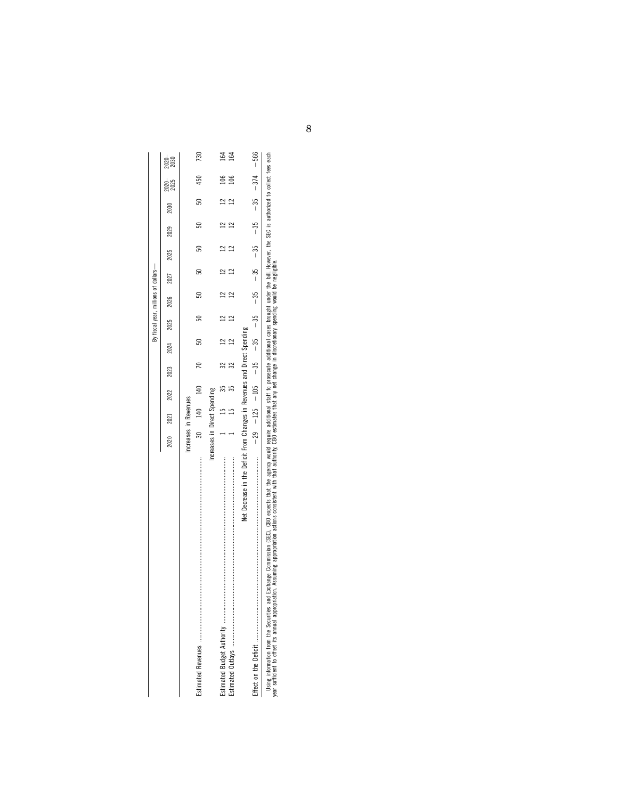|                                                                                                                                                                                                                |                              |         |      |      |      |      | By fiscal year, millions of dollars- |      |      |      |                                                                                   |               |
|----------------------------------------------------------------------------------------------------------------------------------------------------------------------------------------------------------------|------------------------------|---------|------|------|------|------|--------------------------------------|------|------|------|-----------------------------------------------------------------------------------|---------------|
|                                                                                                                                                                                                                | 2020                         | 2021    | 2022 | 2023 | 2024 | 2025 | 2026 2027                            | 2025 | 2029 | 2030 | 2025<br>2025                                                                      | 2020-<br>2030 |
|                                                                                                                                                                                                                | Increases in Revenues        |         |      |      |      |      |                                      |      |      |      |                                                                                   |               |
|                                                                                                                                                                                                                | 30                           | 140 140 |      |      | 50   | ສ    | ສ                                    |      | ສ    | 50   | 450                                                                               | 730           |
|                                                                                                                                                                                                                | Increases in Direct Spending |         |      |      |      |      |                                      |      |      |      |                                                                                   |               |
|                                                                                                                                                                                                                |                              |         |      | 32   |      |      |                                      |      |      |      | $\frac{8}{100}$                                                                   | 164           |
|                                                                                                                                                                                                                |                              |         |      |      |      |      |                                      |      |      |      |                                                                                   | ढ             |
| Net Decrease in the Deficit From Changes in Revenues and Direct Spending                                                                                                                                       |                              |         |      |      |      |      |                                      |      |      |      |                                                                                   |               |
|                                                                                                                                                                                                                |                              |         |      |      |      |      |                                      |      |      |      | $-29$ $-125$ $-105$ $-35$ $-35$ $-35$ $-35$ $-35$ $-35$ $-35$ $-35$ $-374$ $-566$ |               |
| and Exchange Commission (SEC). CBO expects that the agency would require additional cases in the boundar the bill However the SEC is authorized to collect fees each<br>Ileing information from the Securities |                              |         |      |      |      |      |                                      |      |      |      |                                                                                   |               |

Using information from the Securities and Exchange Commission (SEC), CBO expects that the agency would require additional staff to prosecute additional cases brought under the bill. However, the SEC is authorized to collec Using information from the Securities and Exchange Commission (SEC), CBO expects that the agency would require additional capacitional cases brought under the bill. However, the SEC<br>year sufficient to offset its annual app year sufficient to offset its annual appropriation. Assuming appropriation actions consistent with that authority, CBO estimates that any net change in discretionary spending would be negligible.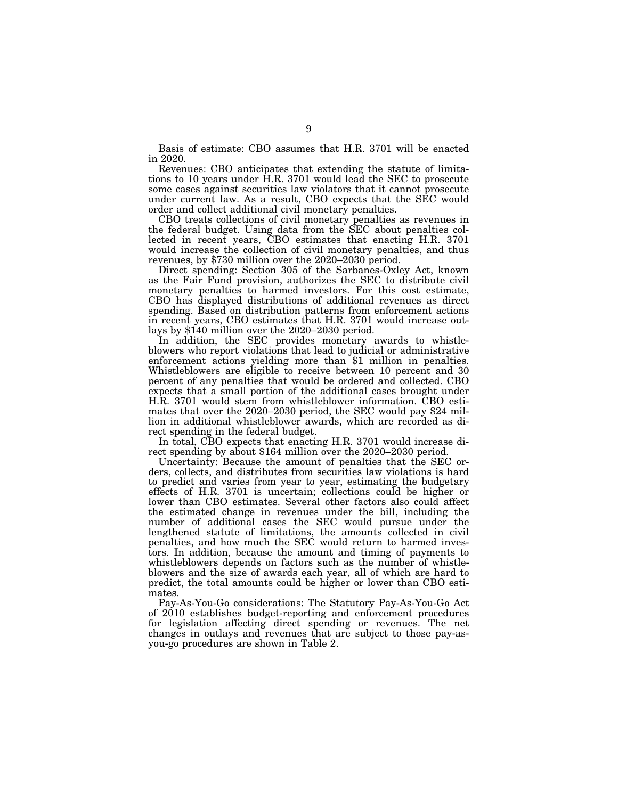Basis of estimate: CBO assumes that H.R. 3701 will be enacted in 2020.

Revenues: CBO anticipates that extending the statute of limitations to 10 years under H.R. 3701 would lead the SEC to prosecute some cases against securities law violators that it cannot prosecute under current law. As a result, CBO expects that the SEC would order and collect additional civil monetary penalties.

CBO treats collections of civil monetary penalties as revenues in the federal budget. Using data from the SEC about penalties collected in recent years, CBO estimates that enacting H.R. 3701 would increase the collection of civil monetary penalties, and thus revenues, by \$730 million over the 2020–2030 period.

Direct spending: Section 305 of the Sarbanes-Oxley Act, known as the Fair Fund provision, authorizes the SEC to distribute civil monetary penalties to harmed investors. For this cost estimate, CBO has displayed distributions of additional revenues as direct spending. Based on distribution patterns from enforcement actions in recent years, CBO estimates that H.R. 3701 would increase outlays by \$140 million over the 2020–2030 period.

In addition, the SEC provides monetary awards to whistleblowers who report violations that lead to judicial or administrative enforcement actions yielding more than \$1 million in penalties. Whistleblowers are eligible to receive between 10 percent and 30 percent of any penalties that would be ordered and collected. CBO expects that a small portion of the additional cases brought under H.R. 3701 would stem from whistleblower information. CBO estimates that over the 2020–2030 period, the SEC would pay \$24 million in additional whistleblower awards, which are recorded as direct spending in the federal budget.<br>In total, CBO expects that enacting H.R. 3701 would increase di-

rect spending by about \$164 million over the  $2020-2030$  period.

Uncertainty: Because the amount of penalties that the SEC orders, collects, and distributes from securities law violations is hard to predict and varies from year to year, estimating the budgetary effects of H.R. 3701 is uncertain; collections could be higher or lower than CBO estimates. Several other factors also could affect the estimated change in revenues under the bill, including the number of additional cases the SEC would pursue under the lengthened statute of limitations, the amounts collected in civil penalties, and how much the SEC would return to harmed investors. In addition, because the amount and timing of payments to whistleblowers depends on factors such as the number of whistleblowers and the size of awards each year, all of which are hard to predict, the total amounts could be higher or lower than CBO estimates.

Pay-As-You-Go considerations: The Statutory Pay-As-You-Go Act of 2010 establishes budget-reporting and enforcement procedures for legislation affecting direct spending or revenues. The net changes in outlays and revenues that are subject to those pay-asyou-go procedures are shown in Table 2.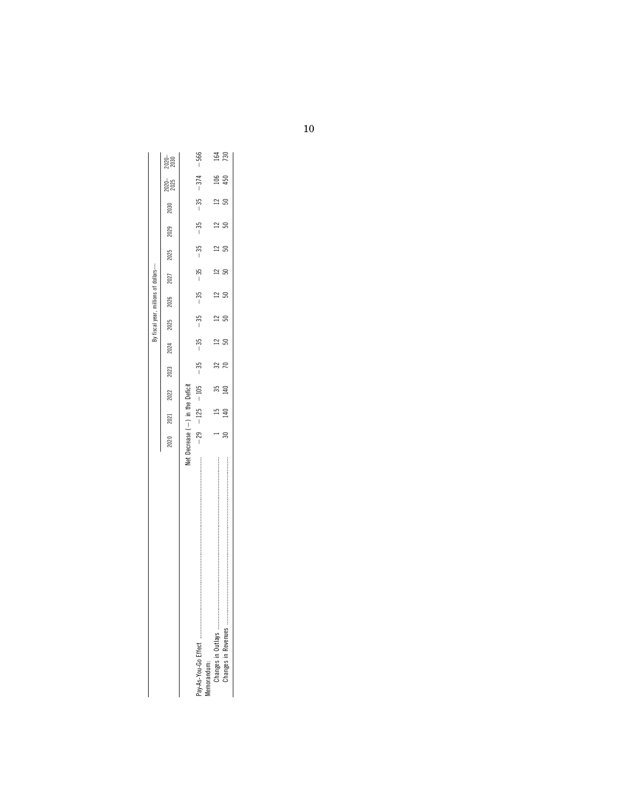|             |                                   |      |      |      |      |      | fiscal year, millions of dollars-                                   |      |      |      |      |              |               |
|-------------|-----------------------------------|------|------|------|------|------|---------------------------------------------------------------------|------|------|------|------|--------------|---------------|
|             | 2020                              | 2021 | 2022 | 2023 | 2024 | 2025 | 2026                                                                | 2027 | 2025 | 2029 | 2030 | 2025<br>2025 | 2020-<br>2030 |
|             | Net Decrease $(-)$ in the Deficit |      |      |      |      |      |                                                                     |      |      |      |      |              |               |
| lemorandum: |                                   |      |      |      |      |      | $-29$ $-125$ $-105$ $-35$ $-35$ $-35$ $-35$ $-35$ $-35$ $-35$ $-35$ |      |      |      |      | $-374$       | $-566$        |
|             |                                   |      | ౘ    |      |      |      |                                                                     |      |      |      |      |              |               |
|             | ಸ                                 | ₩    | ₹    |      | ສ    | ິສ   |                                                                     | ສ    | ສ    | S    | ິລ   | 5            | నై            |
|             |                                   |      |      |      |      |      |                                                                     |      |      |      |      |              |               |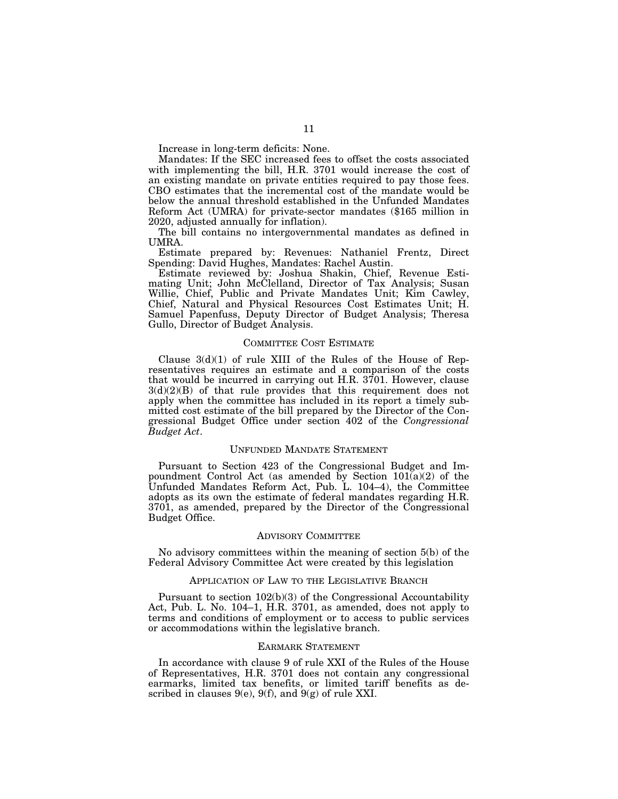Increase in long-term deficits: None.

Mandates: If the SEC increased fees to offset the costs associated with implementing the bill, H.R. 3701 would increase the cost of an existing mandate on private entities required to pay those fees. CBO estimates that the incremental cost of the mandate would be below the annual threshold established in the Unfunded Mandates Reform Act (UMRA) for private-sector mandates (\$165 million in 2020, adjusted annually for inflation).

The bill contains no intergovernmental mandates as defined in UMRA.

Estimate prepared by: Revenues: Nathaniel Frentz, Direct Spending: David Hughes, Mandates: Rachel Austin.

Estimate reviewed by: Joshua Shakin, Chief, Revenue Estimating Unit; John McClelland, Director of Tax Analysis; Susan Willie, Chief, Public and Private Mandates Unit; Kim Cawley, Chief, Natural and Physical Resources Cost Estimates Unit; H. Samuel Papenfuss, Deputy Director of Budget Analysis; Theresa Gullo, Director of Budget Analysis.

## COMMITTEE COST ESTIMATE

Clause  $3(d)(1)$  of rule XIII of the Rules of the House of Representatives requires an estimate and a comparison of the costs that would be incurred in carrying out H.R. 3701. However, clause 3(d)(2)(B) of that rule provides that this requirement does not apply when the committee has included in its report a timely submitted cost estimate of the bill prepared by the Director of the Congressional Budget Office under section 402 of the *Congressional Budget Act*.

## UNFUNDED MANDATE STATEMENT

Pursuant to Section 423 of the Congressional Budget and Impoundment Control Act (as amended by Section  $101(a)(2)$  of the Unfunded Mandates Reform Act, Pub. L. 104–4), the Committee adopts as its own the estimate of federal mandates regarding H.R. 3701, as amended, prepared by the Director of the Congressional Budget Office.

#### ADVISORY COMMITTEE

No advisory committees within the meaning of section 5(b) of the Federal Advisory Committee Act were created by this legislation

#### APPLICATION OF LAW TO THE LEGISLATIVE BRANCH

Pursuant to section 102(b)(3) of the Congressional Accountability Act, Pub. L. No. 104–1, H.R. 3701, as amended, does not apply to terms and conditions of employment or to access to public services or accommodations within the legislative branch.

#### EARMARK STATEMENT

In accordance with clause 9 of rule XXI of the Rules of the House of Representatives, H.R. 3701 does not contain any congressional earmarks, limited tax benefits, or limited tariff benefits as described in clauses  $9(e)$ ,  $9(f)$ , and  $9(g)$  of rule XXI.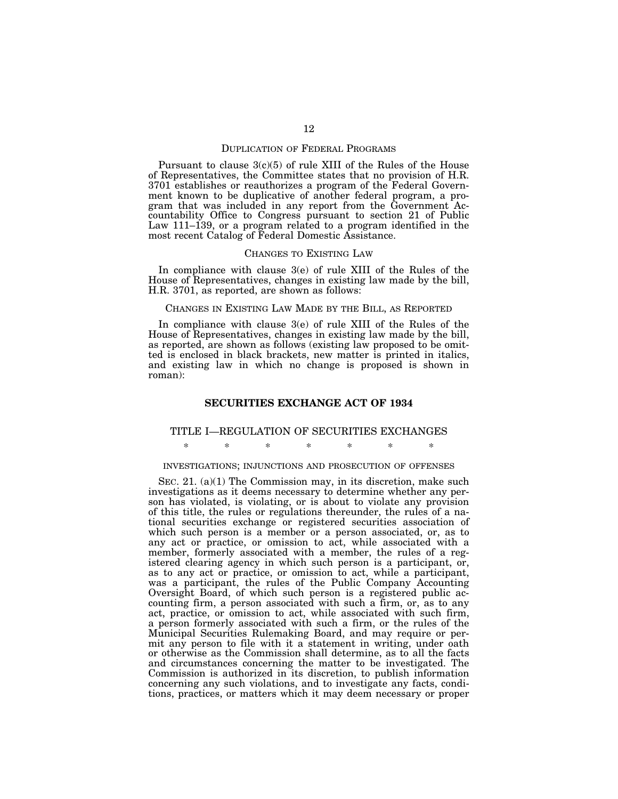## DUPLICATION OF FEDERAL PROGRAMS

Pursuant to clause  $3(c)(5)$  of rule XIII of the Rules of the House of Representatives, the Committee states that no provision of H.R. 3701 establishes or reauthorizes a program of the Federal Government known to be duplicative of another federal program, a program that was included in any report from the Government Accountability Office to Congress pursuant to section 21 of Public Law 111–139, or a program related to a program identified in the most recent Catalog of Federal Domestic Assistance.

## CHANGES TO EXISTING LAW

In compliance with clause 3(e) of rule XIII of the Rules of the House of Representatives, changes in existing law made by the bill, H.R. 3701, as reported, are shown as follows:

#### CHANGES IN EXISTING LAW MADE BY THE BILL, AS REPORTED

In compliance with clause 3(e) of rule XIII of the Rules of the House of Representatives, changes in existing law made by the bill, as reported, are shown as follows (existing law proposed to be omitted is enclosed in black brackets, new matter is printed in italics, and existing law in which no change is proposed is shown in roman):

## **SECURITIES EXCHANGE ACT OF 1934**

# TITLE I—REGULATION OF SECURITIES EXCHANGES

\* \* \* \* \* \* \*

## INVESTIGATIONS; INJUNCTIONS AND PROSECUTION OF OFFENSES

SEC. 21. (a)(1) The Commission may, in its discretion, make such investigations as it deems necessary to determine whether any person has violated, is violating, or is about to violate any provision of this title, the rules or regulations thereunder, the rules of a national securities exchange or registered securities association of which such person is a member or a person associated, or, as to any act or practice, or omission to act, while associated with a member, formerly associated with a member, the rules of a registered clearing agency in which such person is a participant, or, as to any act or practice, or omission to act, while a participant, was a participant, the rules of the Public Company Accounting Oversight Board, of which such person is a registered public accounting firm, a person associated with such a firm, or, as to any act, practice, or omission to act, while associated with such firm, a person formerly associated with such a firm, or the rules of the Municipal Securities Rulemaking Board, and may require or permit any person to file with it a statement in writing, under oath or otherwise as the Commission shall determine, as to all the facts and circumstances concerning the matter to be investigated. The Commission is authorized in its discretion, to publish information concerning any such violations, and to investigate any facts, conditions, practices, or matters which it may deem necessary or proper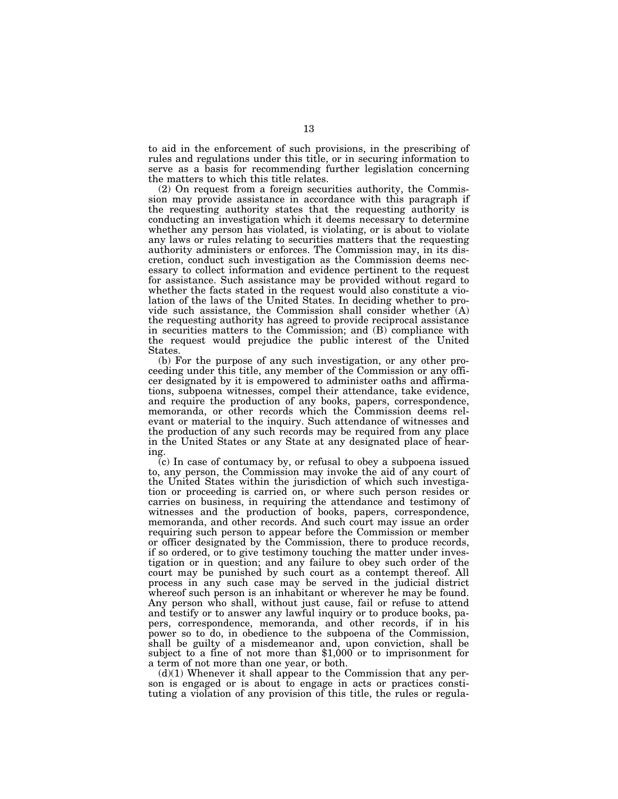to aid in the enforcement of such provisions, in the prescribing of rules and regulations under this title, or in securing information to serve as a basis for recommending further legislation concerning the matters to which this title relates.

(2) On request from a foreign securities authority, the Commission may provide assistance in accordance with this paragraph if the requesting authority states that the requesting authority is conducting an investigation which it deems necessary to determine whether any person has violated, is violating, or is about to violate any laws or rules relating to securities matters that the requesting authority administers or enforces. The Commission may, in its discretion, conduct such investigation as the Commission deems necessary to collect information and evidence pertinent to the request for assistance. Such assistance may be provided without regard to whether the facts stated in the request would also constitute a violation of the laws of the United States. In deciding whether to provide such assistance, the Commission shall consider whether (A) the requesting authority has agreed to provide reciprocal assistance in securities matters to the Commission; and (B) compliance with the request would prejudice the public interest of the United States.

(b) For the purpose of any such investigation, or any other proceeding under this title, any member of the Commission or any officer designated by it is empowered to administer oaths and affirmations, subpoena witnesses, compel their attendance, take evidence, and require the production of any books, papers, correspondence, memoranda, or other records which the Commission deems relevant or material to the inquiry. Such attendance of witnesses and the production of any such records may be required from any place in the United States or any State at any designated place of hearing.

(c) In case of contumacy by, or refusal to obey a subpoena issued to, any person, the Commission may invoke the aid of any court of the United States within the jurisdiction of which such investigation or proceeding is carried on, or where such person resides or carries on business, in requiring the attendance and testimony of witnesses and the production of books, papers, correspondence, memoranda, and other records. And such court may issue an order requiring such person to appear before the Commission or member or officer designated by the Commission, there to produce records, if so ordered, or to give testimony touching the matter under investigation or in question; and any failure to obey such order of the court may be punished by such court as a contempt thereof. All process in any such case may be served in the judicial district whereof such person is an inhabitant or wherever he may be found. Any person who shall, without just cause, fail or refuse to attend and testify or to answer any lawful inquiry or to produce books, papers, correspondence, memoranda, and other records, if in his power so to do, in obedience to the subpoena of the Commission, shall be guilty of a misdemeanor and, upon conviction, shall be subject to a fine of not more than \$1,000 or to imprisonment for a term of not more than one year, or both.

 $(d)(1)$  Whenever it shall appear to the Commission that any person is engaged or is about to engage in acts or practices constituting a violation of any provision of this title, the rules or regula-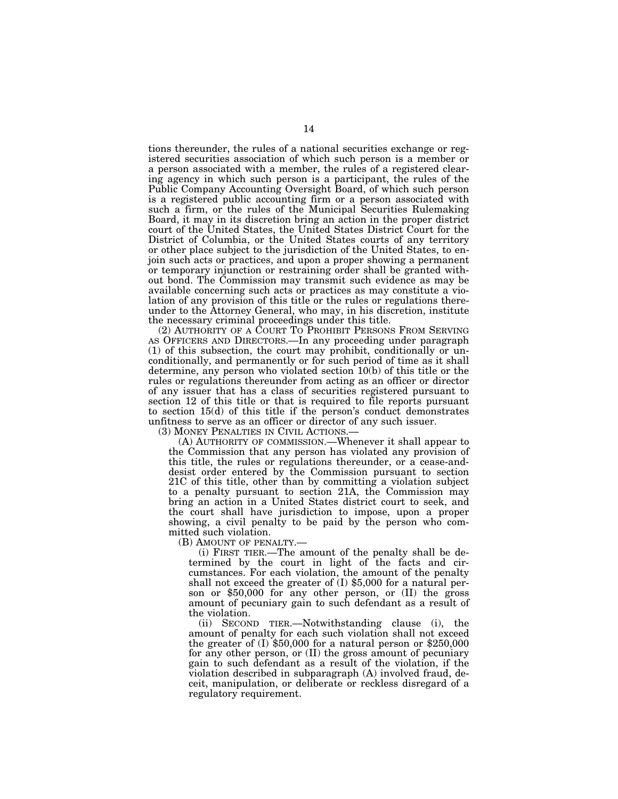tions thereunder, the rules of a national securities exchange or registered securities association of which such person is a member or a person associated with a member, the rules of a registered clearing agency in which such person is a participant, the rules of the Public Company Accounting Oversight Board, of which such person is a registered public accounting firm or a person associated with such a firm, or the rules of the Municipal Securities Rulemaking Board, it may in its discretion bring an action in the proper district court of the United States, the United States District Court for the District of Columbia, or the United States courts of any territory or other place subject to the jurisdiction of the United States, to enjoin such acts or practices, and upon a proper showing a permanent or temporary injunction or restraining order shall be granted without bond. The Commission may transmit such evidence as may be available concerning such acts or practices as may constitute a violation of any provision of this title or the rules or regulations thereunder to the Attorney General, who may, in his discretion, institute the necessary criminal proceedings under this title.

(2) AUTHORITY OF A COURT TO PROHIBIT PERSONS FROM SERVING AS OFFICERS AND DIRECTORS.—In any proceeding under paragraph (1) of this subsection, the court may prohibit, conditionally or unconditionally, and permanently or for such period of time as it shall determine, any person who violated section 10(b) of this title or the rules or regulations thereunder from acting as an officer or director of any issuer that has a class of securities registered pursuant to section 12 of this title or that is required to file reports pursuant to section 15(d) of this title if the person's conduct demonstrates unfitness to serve as an officer or director of any such issuer.

(3) MONEY PENALTIES IN CIVIL ACTIONS.—

(A) AUTHORITY OF COMMISSION.—Whenever it shall appear to the Commission that any person has violated any provision of this title, the rules or regulations thereunder, or a cease-anddesist order entered by the Commission pursuant to section 21C of this title, other than by committing a violation subject to a penalty pursuant to section 21A, the Commission may bring an action in a United States district court to seek, and the court shall have jurisdiction to impose, upon a proper showing, a civil penalty to be paid by the person who committed such violation.

(B) AMOUNT OF PENALTY.—

(i) FIRST TIER.—The amount of the penalty shall be determined by the court in light of the facts and circumstances. For each violation, the amount of the penalty shall not exceed the greater of (I) \$5,000 for a natural person or \$50,000 for any other person, or (II) the gross amount of pecuniary gain to such defendant as a result of the violation.

(ii) SECOND TIER.—Notwithstanding clause (i), the amount of penalty for each such violation shall not exceed the greater of (I) \$50,000 for a natural person or \$250,000 for any other person, or (II) the gross amount of pecuniary gain to such defendant as a result of the violation, if the violation described in subparagraph (A) involved fraud, deceit, manipulation, or deliberate or reckless disregard of a regulatory requirement.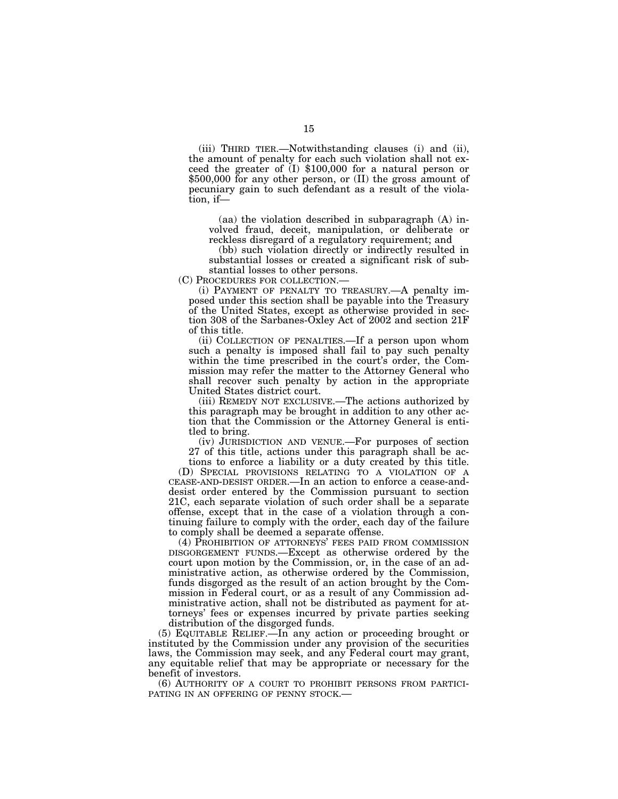(iii) THIRD TIER.—Notwithstanding clauses (i) and (ii), the amount of penalty for each such violation shall not exceed the greater of (I) \$100,000 for a natural person or \$500,000 for any other person, or (II) the gross amount of pecuniary gain to such defendant as a result of the violation, if—

(aa) the violation described in subparagraph (A) involved fraud, deceit, manipulation, or deliberate or reckless disregard of a regulatory requirement; and

(bb) such violation directly or indirectly resulted in substantial losses or created a significant risk of substantial losses to other persons.

(C) PROCEDURES FOR COLLECTION.—

(i) PAYMENT OF PENALTY TO TREASURY.—A penalty imposed under this section shall be payable into the Treasury of the United States, except as otherwise provided in section 308 of the Sarbanes-Oxley Act of 2002 and section 21F of this title.

(ii) COLLECTION OF PENALTIES.—If a person upon whom such a penalty is imposed shall fail to pay such penalty within the time prescribed in the court's order, the Commission may refer the matter to the Attorney General who shall recover such penalty by action in the appropriate United States district court.

(iii) REMEDY NOT EXCLUSIVE.—The actions authorized by this paragraph may be brought in addition to any other action that the Commission or the Attorney General is entitled to bring.

(iv) JURISDICTION AND VENUE.—For purposes of section 27 of this title, actions under this paragraph shall be actions to enforce a liability or a duty created by this title.

(D) SPECIAL PROVISIONS RELATING TO A VIOLATION OF A CEASE-AND-DESIST ORDER.—In an action to enforce a cease-anddesist order entered by the Commission pursuant to section 21C, each separate violation of such order shall be a separate offense, except that in the case of a violation through a continuing failure to comply with the order, each day of the failure to comply shall be deemed a separate offense.

(4) PROHIBITION OF ATTORNEYS' FEES PAID FROM COMMISSION DISGORGEMENT FUNDS.—Except as otherwise ordered by the court upon motion by the Commission, or, in the case of an administrative action, as otherwise ordered by the Commission, funds disgorged as the result of an action brought by the Commission in Federal court, or as a result of any Commission administrative action, shall not be distributed as payment for attorneys' fees or expenses incurred by private parties seeking distribution of the disgorged funds.

(5) EQUITABLE RELIEF.—In any action or proceeding brought or instituted by the Commission under any provision of the securities laws, the Commission may seek, and any Federal court may grant, any equitable relief that may be appropriate or necessary for the benefit of investors.

(6) AUTHORITY OF A COURT TO PROHIBIT PERSONS FROM PARTICI-PATING IN AN OFFERING OF PENNY STOCK.—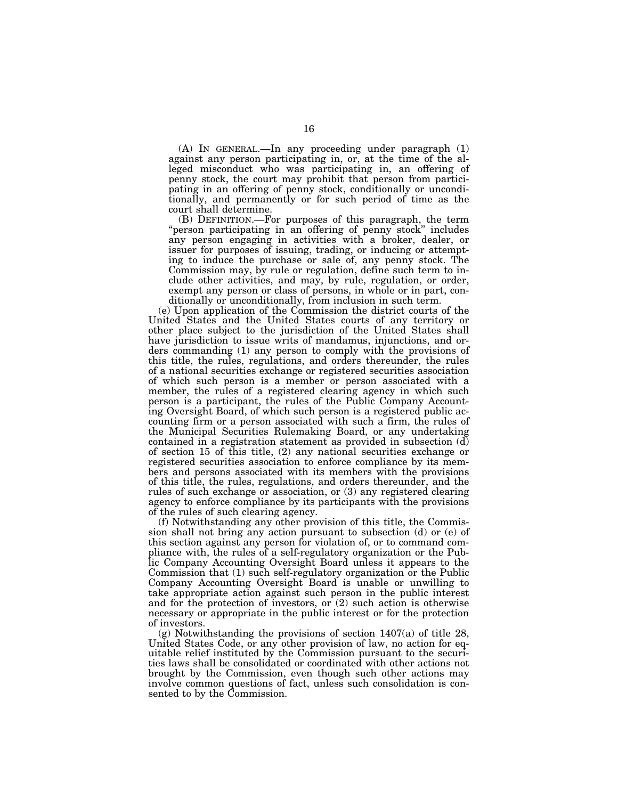(A) IN GENERAL.—In any proceeding under paragraph (1) against any person participating in, or, at the time of the alleged misconduct who was participating in, an offering of penny stock, the court may prohibit that person from participating in an offering of penny stock, conditionally or unconditionally, and permanently or for such period of time as the court shall determine.

(B) DEFINITION.—For purposes of this paragraph, the term "person participating in an offering of penny stock" includes any person engaging in activities with a broker, dealer, or issuer for purposes of issuing, trading, or inducing or attempting to induce the purchase or sale of, any penny stock. The Commission may, by rule or regulation, define such term to include other activities, and may, by rule, regulation, or order, exempt any person or class of persons, in whole or in part, conditionally or unconditionally, from inclusion in such term.

(e) Upon application of the Commission the district courts of the United States and the United States courts of any territory or other place subject to the jurisdiction of the United States shall have jurisdiction to issue writs of mandamus, injunctions, and orders commanding (1) any person to comply with the provisions of this title, the rules, regulations, and orders thereunder, the rules of a national securities exchange or registered securities association of which such person is a member or person associated with a member, the rules of a registered clearing agency in which such person is a participant, the rules of the Public Company Accounting Oversight Board, of which such person is a registered public accounting firm or a person associated with such a firm, the rules of the Municipal Securities Rulemaking Board, or any undertaking contained in a registration statement as provided in subsection (d) of section 15 of this title, (2) any national securities exchange or registered securities association to enforce compliance by its members and persons associated with its members with the provisions of this title, the rules, regulations, and orders thereunder, and the rules of such exchange or association, or (3) any registered clearing agency to enforce compliance by its participants with the provisions of the rules of such clearing agency.

(f) Notwithstanding any other provision of this title, the Commission shall not bring any action pursuant to subsection (d) or (e) of this section against any person for violation of, or to command compliance with, the rules of a self-regulatory organization or the Public Company Accounting Oversight Board unless it appears to the Commission that (1) such self-regulatory organization or the Public Company Accounting Oversight Board is unable or unwilling to take appropriate action against such person in the public interest and for the protection of investors, or (2) such action is otherwise necessary or appropriate in the public interest or for the protection of investors.

(g) Notwithstanding the provisions of section 1407(a) of title 28, United States Code, or any other provision of law, no action for equitable relief instituted by the Commission pursuant to the securities laws shall be consolidated or coordinated with other actions not brought by the Commission, even though such other actions may involve common questions of fact, unless such consolidation is consented to by the Commission.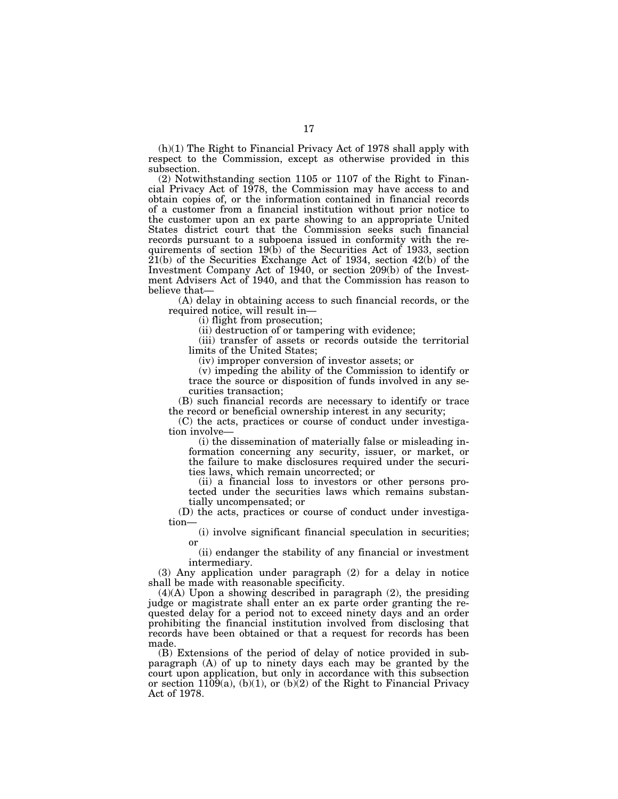(h)(1) The Right to Financial Privacy Act of 1978 shall apply with respect to the Commission, except as otherwise provided in this subsection.

(2) Notwithstanding section 1105 or 1107 of the Right to Financial Privacy Act of 1978, the Commission may have access to and obtain copies of, or the information contained in financial records of a customer from a financial institution without prior notice to the customer upon an ex parte showing to an appropriate United States district court that the Commission seeks such financial records pursuant to a subpoena issued in conformity with the requirements of section 19(b) of the Securities Act of 1933, section 21(b) of the Securities Exchange Act of 1934, section 42(b) of the Investment Company Act of 1940, or section 209(b) of the Investment Advisers Act of 1940, and that the Commission has reason to believe that—

(A) delay in obtaining access to such financial records, or the required notice, will result in—

(i) flight from prosecution;

(ii) destruction of or tampering with evidence;

(iii) transfer of assets or records outside the territorial limits of the United States;

(iv) improper conversion of investor assets; or

(v) impeding the ability of the Commission to identify or trace the source or disposition of funds involved in any securities transaction;

(B) such financial records are necessary to identify or trace the record or beneficial ownership interest in any security;

(C) the acts, practices or course of conduct under investigation involve—

(i) the dissemination of materially false or misleading information concerning any security, issuer, or market, or the failure to make disclosures required under the securities laws, which remain uncorrected; or

(ii) a financial loss to investors or other persons protected under the securities laws which remains substantially uncompensated; or

(D) the acts, practices or course of conduct under investigation—

(i) involve significant financial speculation in securities; or

(ii) endanger the stability of any financial or investment intermediary.

(3) Any application under paragraph (2) for a delay in notice shall be made with reasonable specificity.

(4)(A) Upon a showing described in paragraph (2), the presiding judge or magistrate shall enter an ex parte order granting the requested delay for a period not to exceed ninety days and an order prohibiting the financial institution involved from disclosing that records have been obtained or that a request for records has been made.

(B) Extensions of the period of delay of notice provided in subparagraph (A) of up to ninety days each may be granted by the court upon application, but only in accordance with this subsection or section 1109(a), (b)(1), or (b)(2) of the Right to Financial Privacy Act of 1978.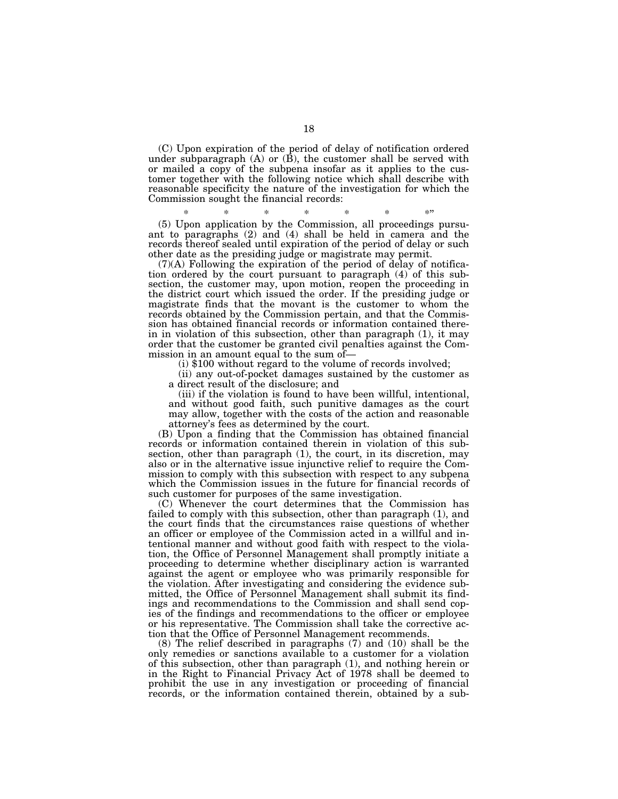(C) Upon expiration of the period of delay of notification ordered under subparagraph  $(A)$  or  $(\overline{B})$ , the customer shall be served with or mailed a copy of the subpena insofar as it applies to the customer together with the following notice which shall describe with reasonable specificity the nature of the investigation for which the Commission sought the financial records:

\* \* \* \* \* \* \* (5) Upon application by the Commission, all proceedings pursuant to paragraphs (2) and (4) shall be held in camera and the records thereof sealed until expiration of the period of delay or such other date as the presiding judge or magistrate may permit.

(7)(A) Following the expiration of the period of delay of notification ordered by the court pursuant to paragraph (4) of this subsection, the customer may, upon motion, reopen the proceeding in the district court which issued the order. If the presiding judge or magistrate finds that the movant is the customer to whom the records obtained by the Commission pertain, and that the Commission has obtained financial records or information contained therein in violation of this subsection, other than paragraph (1), it may order that the customer be granted civil penalties against the Com-

 $(i)$  \$100 without regard to the volume of records involved;

(ii) any out-of-pocket damages sustained by the customer as a direct result of the disclosure; and

(iii) if the violation is found to have been willful, intentional, and without good faith, such punitive damages as the court may allow, together with the costs of the action and reasonable attorney's fees as determined by the court.

(B) Upon a finding that the Commission has obtained financial records or information contained therein in violation of this subsection, other than paragraph (1), the court, in its discretion, may also or in the alternative issue injunctive relief to require the Commission to comply with this subsection with respect to any subpena which the Commission issues in the future for financial records of such customer for purposes of the same investigation.

(C) Whenever the court determines that the Commission has failed to comply with this subsection, other than paragraph (1), and the court finds that the circumstances raise questions of whether an officer or employee of the Commission acted in a willful and intentional manner and without good faith with respect to the violation, the Office of Personnel Management shall promptly initiate a proceeding to determine whether disciplinary action is warranted against the agent or employee who was primarily responsible for the violation. After investigating and considering the evidence submitted, the Office of Personnel Management shall submit its findings and recommendations to the Commission and shall send copies of the findings and recommendations to the officer or employee or his representative. The Commission shall take the corrective action that the Office of Personnel Management recommends.

(8) The relief described in paragraphs (7) and (10) shall be the only remedies or sanctions available to a customer for a violation of this subsection, other than paragraph (1), and nothing herein or in the Right to Financial Privacy Act of 1978 shall be deemed to prohibit the use in any investigation or proceeding of financial records, or the information contained therein, obtained by a sub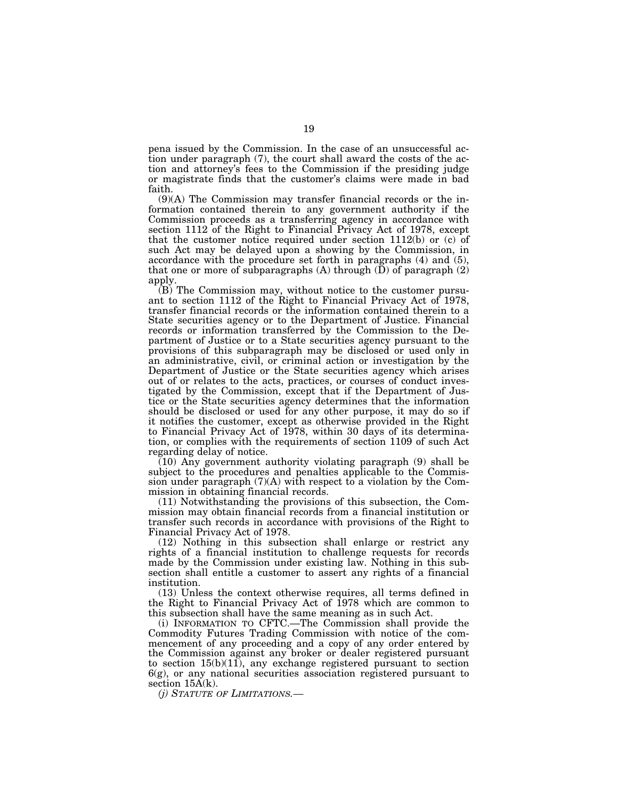pena issued by the Commission. In the case of an unsuccessful action under paragraph (7), the court shall award the costs of the action and attorney's fees to the Commission if the presiding judge or magistrate finds that the customer's claims were made in bad faith.

(9)(A) The Commission may transfer financial records or the information contained therein to any government authority if the Commission proceeds as a transferring agency in accordance with section 1112 of the Right to Financial Privacy Act of 1978, except that the customer notice required under section  $1112(b)$  or (c) of such Act may be delayed upon a showing by the Commission, in accordance with the procedure set forth in paragraphs (4) and (5), that one or more of subparagraphs (A) through  $(D)$  of paragraph  $(2)$ apply.

(B) The Commission may, without notice to the customer pursuant to section 1112 of the Right to Financial Privacy Act of 1978, transfer financial records or the information contained therein to a State securities agency or to the Department of Justice. Financial records or information transferred by the Commission to the Department of Justice or to a State securities agency pursuant to the provisions of this subparagraph may be disclosed or used only in an administrative, civil, or criminal action or investigation by the Department of Justice or the State securities agency which arises out of or relates to the acts, practices, or courses of conduct investigated by the Commission, except that if the Department of Justice or the State securities agency determines that the information should be disclosed or used for any other purpose, it may do so if it notifies the customer, except as otherwise provided in the Right to Financial Privacy Act of 1978, within 30 days of its determination, or complies with the requirements of section 1109 of such Act regarding delay of notice.

(10) Any government authority violating paragraph (9) shall be subject to the procedures and penalties applicable to the Commission under paragraph  $(7)(A)$  with respect to a violation by the Commission in obtaining financial records.

(11) Notwithstanding the provisions of this subsection, the Commission may obtain financial records from a financial institution or transfer such records in accordance with provisions of the Right to Financial Privacy Act of 1978.

(12) Nothing in this subsection shall enlarge or restrict any rights of a financial institution to challenge requests for records made by the Commission under existing law. Nothing in this subsection shall entitle a customer to assert any rights of a financial institution.

(13) Unless the context otherwise requires, all terms defined in the Right to Financial Privacy Act of 1978 which are common to this subsection shall have the same meaning as in such Act.

(i) INFORMATION TO CFTC.—The Commission shall provide the Commodity Futures Trading Commission with notice of the commencement of any proceeding and a copy of any order entered by the Commission against any broker or dealer registered pursuant to section  $15(b)(11)$ , any exchange registered pursuant to section 6(g), or any national securities association registered pursuant to section  $15A(k)$ .

*(j) STATUTE OF LIMITATIONS.—*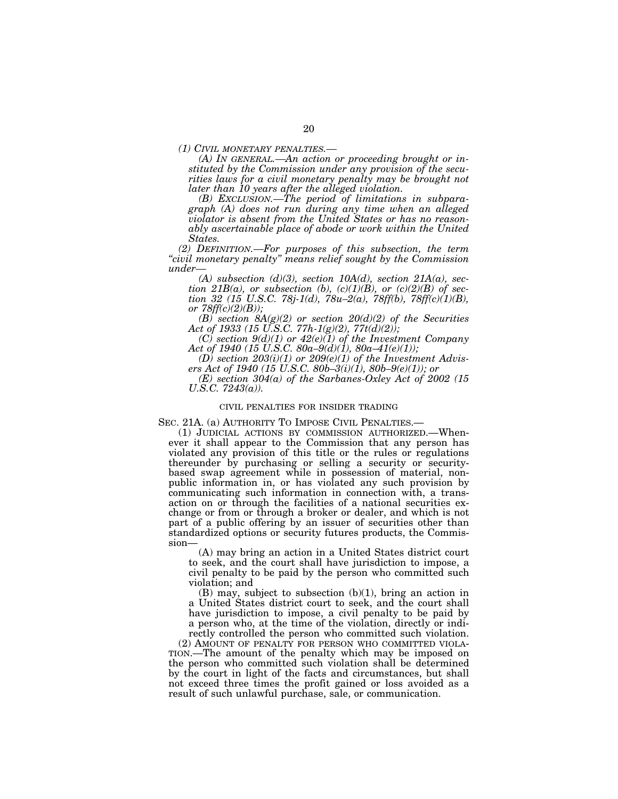*(1) CIVIL MONETARY PENALTIES.— (A) IN GENERAL.—An action or proceeding brought or instituted by the Commission under any provision of the securities laws for a civil monetary penalty may be brought not later than 10 years after the alleged violation.* 

*(B) EXCLUSION.—The period of limitations in subparagraph (A) does not run during any time when an alleged violator is absent from the United States or has no reasonably ascertainable place of abode or work within the United States.* 

*(2) DEFINITION.—For purposes of this subsection, the term ''civil monetary penalty'' means relief sought by the Commission under—* 

*(A) subsection (d)(3), section 10A(d), section 21A(a), section 21B(a), or subsection (b),*  $(c)(1)(B)$ *, or*  $(c)(2)(B)$  *of section 32 (15 U.S.C. 78j-1(d), 78u–2(a), 78ff(b), 78ff(c)(1)(B), or 78ff(c)(2)(B));* 

*(B) section 8A(g)(2) or section 20(d)(2) of the Securities Act of 1933 (15 U.S.C. 77h-1(g)(2), 77t(d)(2));* 

*(C) section 9(d)(1) or 42(e)(1) of the Investment Company Act of 1940 (15 U.S.C. 80a–9(d)(1), 80a–41(e)(1));* 

*(D) section 203(i)(1) or 209(e)(1) of the Investment Advisers Act of 1940 (15 U.S.C. 80b–3(i)(1), 80b–9(e)(1)); or* 

*(E) section 304(a) of the Sarbanes-Oxley Act of 2002 (15 U.S.C. 7243(a)).* 

#### CIVIL PENALTIES FOR INSIDER TRADING

SEC. 21A. (a) AUTHORITY TO IMPOSE CIVIL PENALTIES.—<br>(1) JUDICIAL ACTIONS BY COMMISSION AUTHORIZED.—Whenever it shall appear to the Commission that any person has violated any provision of this title or the rules or regulations thereunder by purchasing or selling a security or securitybased swap agreement while in possession of material, nonpublic information in, or has violated any such provision by communicating such information in connection with, a transaction on or through the facilities of a national securities exchange or from or through a broker or dealer, and which is not part of a public offering by an issuer of securities other than standardized options or security futures products, the Commission—

(A) may bring an action in a United States district court to seek, and the court shall have jurisdiction to impose, a civil penalty to be paid by the person who committed such violation; and

(B) may, subject to subsection (b)(1), bring an action in a United States district court to seek, and the court shall have jurisdiction to impose, a civil penalty to be paid by a person who, at the time of the violation, directly or indirectly controlled the person who committed such violation.

(2) AMOUNT OF PENALTY FOR PERSON WHO COMMITTED VIOLA-TION.—The amount of the penalty which may be imposed on the person who committed such violation shall be determined by the court in light of the facts and circumstances, but shall not exceed three times the profit gained or loss avoided as a result of such unlawful purchase, sale, or communication.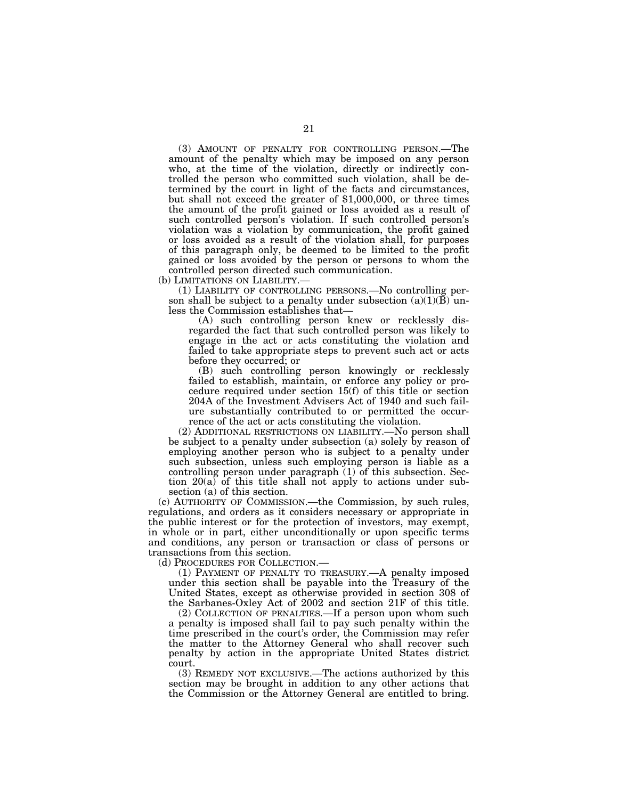(3) AMOUNT OF PENALTY FOR CONTROLLING PERSON.—The amount of the penalty which may be imposed on any person who, at the time of the violation, directly or indirectly controlled the person who committed such violation, shall be determined by the court in light of the facts and circumstances, but shall not exceed the greater of \$1,000,000, or three times the amount of the profit gained or loss avoided as a result of such controlled person's violation. If such controlled person's violation was a violation by communication, the profit gained or loss avoided as a result of the violation shall, for purposes of this paragraph only, be deemed to be limited to the profit gained or loss avoided by the person or persons to whom the controlled person directed such communication.

(b) LIMITATIONS ON LIABILITY.—

(1) LIABILITY OF CONTROLLING PERSONS.—No controlling person shall be subject to a penalty under subsection  $(a)(1)(B)$  unless the Commission establishes that—

(A) such controlling person knew or recklessly disregarded the fact that such controlled person was likely to engage in the act or acts constituting the violation and failed to take appropriate steps to prevent such act or acts before they occurred; or

(B) such controlling person knowingly or recklessly failed to establish, maintain, or enforce any policy or procedure required under section 15(f) of this title or section 204A of the Investment Advisers Act of 1940 and such failure substantially contributed to or permitted the occurrence of the act or acts constituting the violation.

(2) ADDITIONAL RESTRICTIONS ON LIABILITY.—No person shall be subject to a penalty under subsection (a) solely by reason of employing another person who is subject to a penalty under such subsection, unless such employing person is liable as a controlling person under paragraph (1) of this subsection. Section 20(a) of this title shall not apply to actions under subsection (a) of this section.

(c) AUTHORITY OF COMMISSION.—the Commission, by such rules, regulations, and orders as it considers necessary or appropriate in the public interest or for the protection of investors, may exempt, in whole or in part, either unconditionally or upon specific terms and conditions, any person or transaction or class of persons or transactions from this section.

(d) PROCEDURES FOR COLLECTION.—

(1) PAYMENT OF PENALTY TO TREASURY.—A penalty imposed under this section shall be payable into the Treasury of the United States, except as otherwise provided in section 308 of the Sarbanes-Oxley Act of 2002 and section 21F of this title.

(2) COLLECTION OF PENALTIES.—If a person upon whom such a penalty is imposed shall fail to pay such penalty within the time prescribed in the court's order, the Commission may refer the matter to the Attorney General who shall recover such penalty by action in the appropriate United States district court.

(3) REMEDY NOT EXCLUSIVE.—The actions authorized by this section may be brought in addition to any other actions that the Commission or the Attorney General are entitled to bring.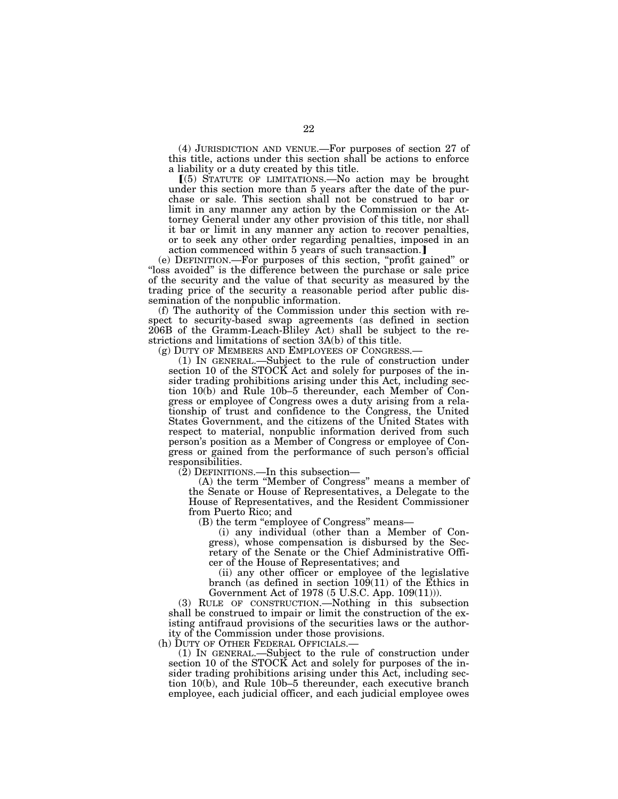(4) JURISDICTION AND VENUE.—For purposes of section 27 of this title, actions under this section shall be actions to enforce a liability or a duty created by this title.

ø(5) STATUTE OF LIMITATIONS.—No action may be brought under this section more than 5 years after the date of the purchase or sale. This section shall not be construed to bar or limit in any manner any action by the Commission or the Attorney General under any other provision of this title, nor shall it bar or limit in any manner any action to recover penalties, or to seek any other order regarding penalties, imposed in an action commenced within 5 years of such transaction.]

(e) DEFINITION.—For purposes of this section, ''profit gained'' or "loss avoided" is the difference between the purchase or sale price of the security and the value of that security as measured by the trading price of the security a reasonable period after public dissemination of the nonpublic information.

(f) The authority of the Commission under this section with respect to security-based swap agreements (as defined in section 206B of the Gramm-Leach-Bliley Act) shall be subject to the restrictions and limitations of section 3A(b) of this title.<br>(g) DUTY OF MEMBERS AND EMPLOYEES OF CONGRESS.

(1) IN GENERAL.—Subject to the rule of construction under section 10 of the STOCK Act and solely for purposes of the insider trading prohibitions arising under this Act, including section 10(b) and Rule 10b–5 thereunder, each Member of Congress or employee of Congress owes a duty arising from a relationship of trust and confidence to the Congress, the United States Government, and the citizens of the United States with respect to material, nonpublic information derived from such person's position as a Member of Congress or employee of Congress or gained from the performance of such person's official responsibilities.

(2) DEFINITIONS.—In this subsection—

(A) the term ''Member of Congress'' means a member of the Senate or House of Representatives, a Delegate to the House of Representatives, and the Resident Commissioner from Puerto Rico; and

(B) the term ''employee of Congress'' means—

(i) any individual (other than a Member of Congress), whose compensation is disbursed by the Secretary of the Senate or the Chief Administrative Officer of the House of Representatives; and

(ii) any other officer or employee of the legislative branch (as defined in section 109(11) of the Ethics in Government Act of 1978 (5 U.S.C. App. 109(11))).

(3) RULE OF CONSTRUCTION.—Nothing in this subsection shall be construed to impair or limit the construction of the existing antifraud provisions of the securities laws or the authority of the Commission under those provisions.<br>(h) DUTY OF OTHER FEDERAL OFFICIALS.—

 $(1)$  IN GENERAL.—Subject to the rule of construction under section 10 of the STOCK Act and solely for purposes of the insider trading prohibitions arising under this Act, including section 10(b), and Rule 10b–5 thereunder, each executive branch employee, each judicial officer, and each judicial employee owes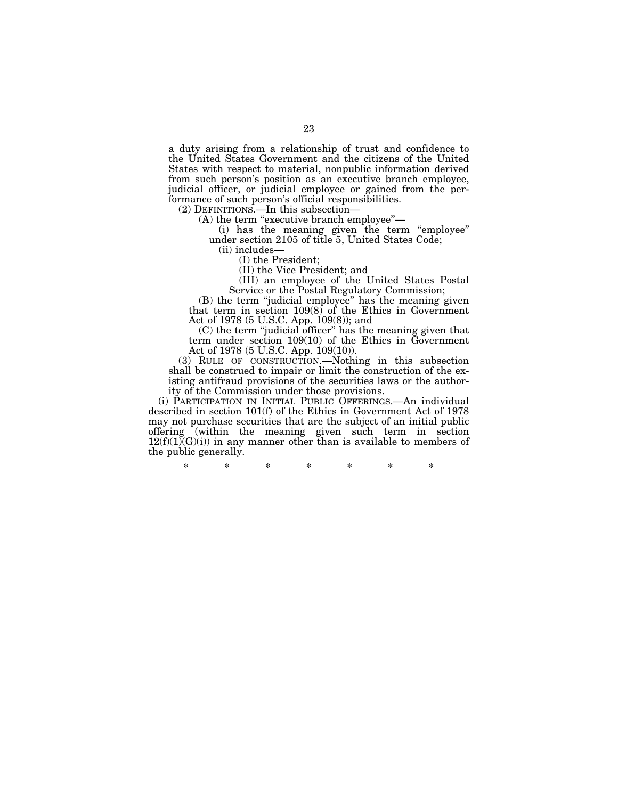a duty arising from a relationship of trust and confidence to the United States Government and the citizens of the United States with respect to material, nonpublic information derived from such person's position as an executive branch employee, judicial officer, or judicial employee or gained from the performance of such person's official responsibilities.

(2) DEFINITIONS.—In this subsection—

(A) the term "executive branch employee"—

(i) has the meaning given the term ''employee'' under section 2105 of title 5, United States Code;

(ii) includes—

(I) the President;

(II) the Vice President; and

(III) an employee of the United States Postal Service or the Postal Regulatory Commission;

(B) the term ''judicial employee'' has the meaning given that term in section 109(8) of the Ethics in Government Act of 1978 (5 U.S.C. App. 109(8)); and

(C) the term ''judicial officer'' has the meaning given that term under section 109(10) of the Ethics in Government Act of 1978 (5 U.S.C. App. 109(10)).

(3) RULE OF CONSTRUCTION.—Nothing in this subsection shall be construed to impair or limit the construction of the existing antifraud provisions of the securities laws or the authority of the Commission under those provisions.

(i) PARTICIPATION IN INITIAL PUBLIC OFFERINGS.—An individual described in section 101(f) of the Ethics in Government Act of 1978 may not purchase securities that are the subject of an initial public offering (within the meaning given such term in section  $12(f)(1)(G)(i)$  in any manner other than is available to members of the public generally.

\* \* \* \* \* \* \*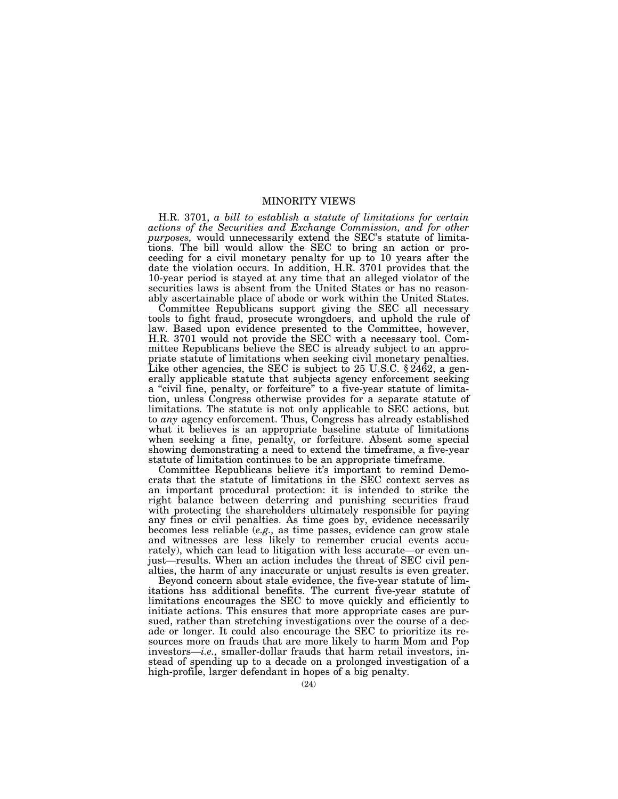# MINORITY VIEWS

H.R. 3701, *a bill to establish a statute of limitations for certain actions of the Securities and Exchange Commission, and for other purposes,* would unnecessarily extend the SEC's statute of limitations. The bill would allow the SEC to bring an action or proceeding for a civil monetary penalty for up to 10 years after the date the violation occurs. In addition, H.R. 3701 provides that the 10-year period is stayed at any time that an alleged violator of the securities laws is absent from the United States or has no reasonably ascertainable place of abode or work within the United States.

Committee Republicans support giving the SEC all necessary tools to fight fraud, prosecute wrongdoers, and uphold the rule of law. Based upon evidence presented to the Committee, however, H.R. 3701 would not provide the SEC with a necessary tool. Committee Republicans believe the SEC is already subject to an appropriate statute of limitations when seeking civil monetary penalties. Like other agencies, the SEC is subject to 25 U.S.C.  $\S 2462$ , a generally applicable statute that subjects agency enforcement seeking a ''civil fine, penalty, or forfeiture'' to a five-year statute of limitation, unless Congress otherwise provides for a separate statute of limitations. The statute is not only applicable to SEC actions, but to *any* agency enforcement. Thus, Congress has already established what it believes is an appropriate baseline statute of limitations when seeking a fine, penalty, or forfeiture. Absent some special showing demonstrating a need to extend the timeframe, a five-year statute of limitation continues to be an appropriate timeframe.

Committee Republicans believe it's important to remind Democrats that the statute of limitations in the SEC context serves as an important procedural protection: it is intended to strike the right balance between deterring and punishing securities fraud with protecting the shareholders ultimately responsible for paying any fines or civil penalties. As time goes by, evidence necessarily becomes less reliable (*e.g.,* as time passes, evidence can grow stale and witnesses are less likely to remember crucial events accurately), which can lead to litigation with less accurate—or even unjust—results. When an action includes the threat of SEC civil penalties, the harm of any inaccurate or unjust results is even greater.

Beyond concern about stale evidence, the five-year statute of limitations has additional benefits. The current five-year statute of limitations encourages the SEC to move quickly and efficiently to initiate actions. This ensures that more appropriate cases are pursued, rather than stretching investigations over the course of a decade or longer. It could also encourage the SEC to prioritize its resources more on frauds that are more likely to harm Mom and Pop investors—*i.e.,* smaller-dollar frauds that harm retail investors, instead of spending up to a decade on a prolonged investigation of a high-profile, larger defendant in hopes of a big penalty.